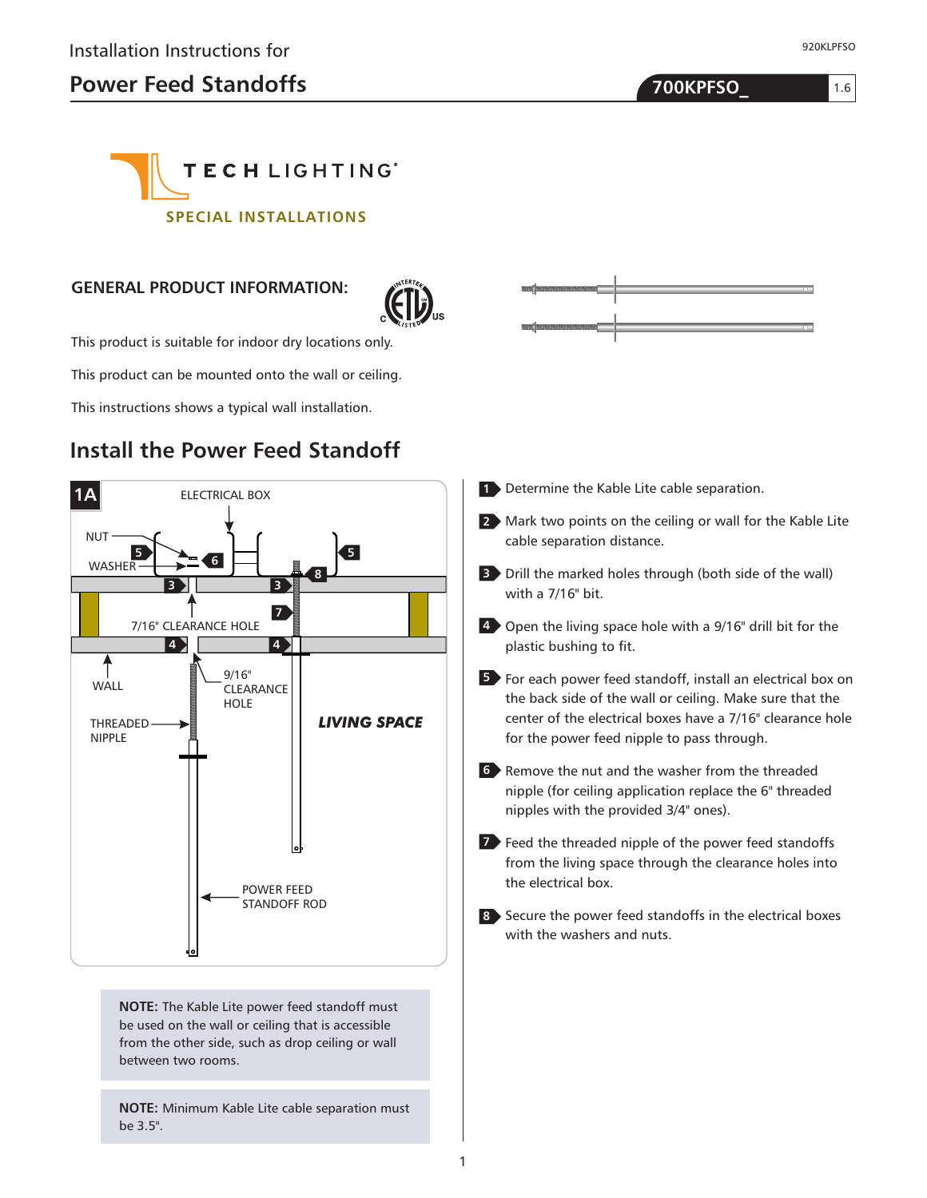920KLPFSO

1.6



## **GENERAL PRODUCT INFORMATION:**



This product is suitable for indoor dry locations only.

This product can be mounted onto the wall or ceiling.

This instructions shows a typical wall installation.

## **Install the Power Feed Standoff**



**NOTE:** The Kable Lite power feed standoff must be used on the wall or ceiling that is accessible from the other side, such as drop ceiling or wall between two rooms.

**NOTE:** Minimum Kable Lite cable separation must be 3.5".



- 1 Determine the Kable Lite cable separation.
- Mark two points on the ceiling or wall for the Kable Lite **2** cable separation distance.
- Drill the marked holes through (both side of the wall) **3** with a 7/16" bit.
- Open the living space hole with a 9/16" drill bit for the **4** plastic bushing to fit.
- **5** For each power feed standoff, install an electrical box on the back side of the wall or ceiling. Make sure that the center of the electrical boxes have a 7/16" clearance hole for the power feed nipple to pass through.
- **6** Remove the nut and the washer from the threaded nipple (for ceiling application replace the 6" threaded nipples with the provided 3/4" ones).
- **7** Feed the threaded nipple of the power feed standoffs from the living space through the clearance holes into the electrical box.
- Secure the power feed standoffs in the electrical boxes **8** with the washers and nuts.